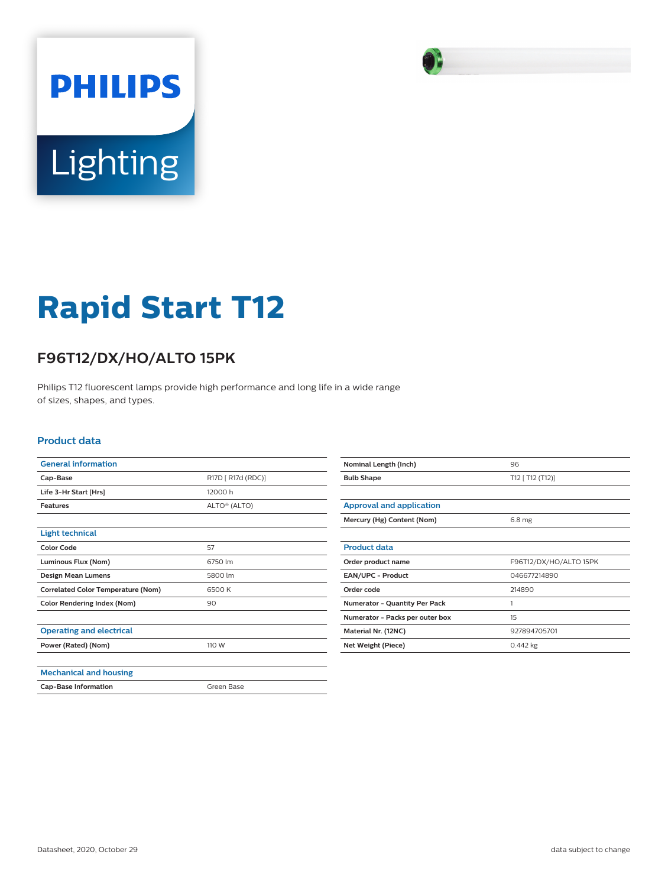

# **Rapid Start T12**

## **F96T12/DX/HO/ALTO 15PK**

Philips T12 fluorescent lamps provide high performance and long life in a wide range of sizes, shapes, and types.

#### **Product data**

| <b>General information</b>                |                          |  |
|-------------------------------------------|--------------------------|--|
| Cap-Base                                  | R17D [ R17d (RDC)]       |  |
| Life 3-Hr Start [Hrs]                     | 12000 h                  |  |
| <b>Features</b>                           | ALTO <sup>®</sup> (ALTO) |  |
|                                           |                          |  |
| <b>Light technical</b>                    |                          |  |
| <b>Color Code</b>                         | 57                       |  |
| Luminous Flux (Nom)                       | 6750 lm                  |  |
| <b>Design Mean Lumens</b>                 | 5800 lm                  |  |
| <b>Correlated Color Temperature (Nom)</b> | 6500 K                   |  |
| <b>Color Rendering Index (Nom)</b>        | 90                       |  |
|                                           |                          |  |
| <b>Operating and electrical</b>           |                          |  |
| Power (Rated) (Nom)                       | 110 W                    |  |
|                                           |                          |  |
| <b>Mechanical and housing</b>             |                          |  |
| <b>Cap-Base Information</b>               | Green Base               |  |

| Nominal Length (Inch)                | 96                     |
|--------------------------------------|------------------------|
| <b>Bulb Shape</b>                    | T12 [ T12 (T12)]       |
|                                      |                        |
| <b>Approval and application</b>      |                        |
| Mercury (Hg) Content (Nom)           | 6.8 <sub>mg</sub>      |
|                                      |                        |
| <b>Product data</b>                  |                        |
| Order product name                   | F96T12/DX/HO/ALTO 15PK |
| EAN/UPC - Product                    | 046677214890           |
| Order code                           | 214890                 |
| <b>Numerator - Quantity Per Pack</b> | 1                      |
| Numerator - Packs per outer box      | 15                     |
| Material Nr. (12NC)                  | 927894705701           |
| Net Weight (Piece)                   | $0.442$ kg             |